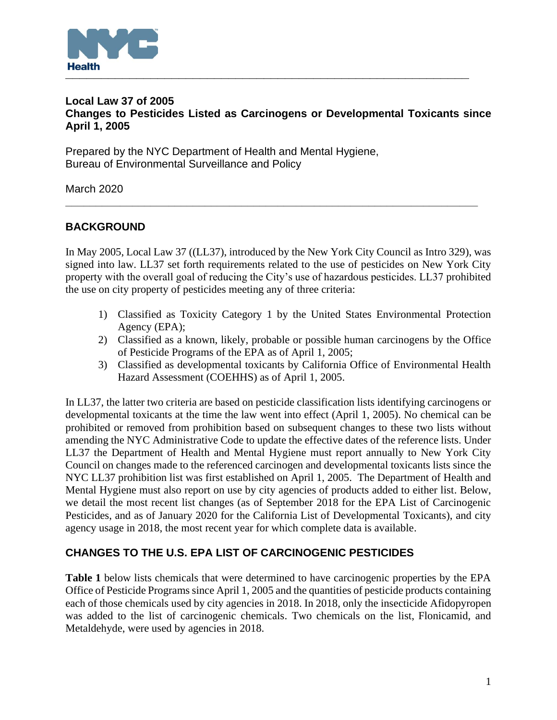

### **Local Law 37 of 2005 Changes to Pesticides Listed as Carcinogens or Developmental Toxicants since April 1, 2005**

Prepared by the NYC Department of Health and Mental Hygiene, Bureau of Environmental Surveillance and Policy

March 2020

# **BACKGROUND**

In May 2005, Local Law 37 ((LL37), introduced by the New York City Council as Intro 329), was signed into law. LL37 set forth requirements related to the use of pesticides on New York City property with the overall goal of reducing the City's use of hazardous pesticides. LL37 prohibited the use on city property of pesticides meeting any of three criteria:

**\_\_\_\_\_\_\_\_\_\_\_\_\_\_\_\_\_\_\_\_\_\_\_\_\_\_\_\_\_\_\_\_\_\_\_\_\_\_\_\_\_\_\_\_\_\_\_\_\_\_\_\_\_\_\_\_\_\_\_\_\_\_\_\_\_\_\_\_**

- 1) Classified as Toxicity Category 1 by the United States Environmental Protection Agency (EPA);
- 2) Classified as a known, likely, probable or possible human carcinogens by the Office of Pesticide Programs of the EPA as of April 1, 2005;
- 3) Classified as developmental toxicants by California Office of Environmental Health Hazard Assessment (COEHHS) as of April 1, 2005.

In LL37, the latter two criteria are based on pesticide classification lists identifying carcinogens or developmental toxicants at the time the law went into effect (April 1, 2005). No chemical can be prohibited or removed from prohibition based on subsequent changes to these two lists without amending the NYC Administrative Code to update the effective dates of the reference lists. Under LL37 the Department of Health and Mental Hygiene must report annually to New York City Council on changes made to the referenced carcinogen and developmental toxicants lists since the NYC LL37 prohibition list was first established on April 1, 2005. The Department of Health and Mental Hygiene must also report on use by city agencies of products added to either list. Below, we detail the most recent list changes (as of September 2018 for the EPA List of Carcinogenic Pesticides, and as of January 2020 for the California List of Developmental Toxicants), and city agency usage in 2018, the most recent year for which complete data is available.

## **CHANGES TO THE U.S. EPA LIST OF CARCINOGENIC PESTICIDES**

**Table 1** below lists chemicals that were determined to have carcinogenic properties by the EPA Office of Pesticide Programs since April 1, 2005 and the quantities of pesticide products containing each of those chemicals used by city agencies in 2018. In 2018, only the insecticide Afidopyropen was added to the list of carcinogenic chemicals. Two chemicals on the list, Flonicamid, and Metaldehyde, were used by agencies in 2018.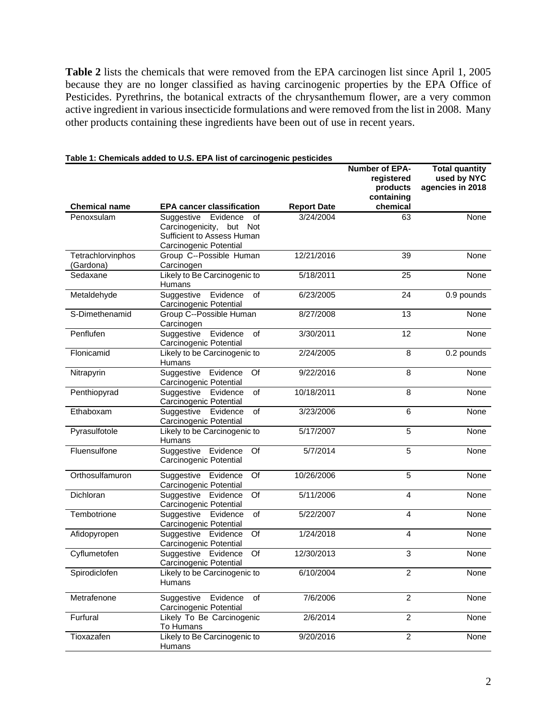**Table 2** lists the chemicals that were removed from the EPA carcinogen list since April 1, 2005 because they are no longer classified as having carcinogenic properties by the EPA Office of Pesticides. Pyrethrins, the botanical extracts of the chrysanthemum flower, are a very common active ingredient in various insecticide formulations and were removed from the list in 2008. Many other products containing these ingredients have been out of use in recent years.

|                                | <b>Division and the City of the City of the City of Section Control Computer</b>                                 |                    | Number of EPA-<br>registered<br>products<br>containing | <b>Total quantity</b><br>used by NYC<br>agencies in 2018 |
|--------------------------------|------------------------------------------------------------------------------------------------------------------|--------------------|--------------------------------------------------------|----------------------------------------------------------|
| <b>Chemical name</b>           | <b>EPA cancer classification</b>                                                                                 | <b>Report Date</b> | chemical                                               |                                                          |
| Penoxsulam                     | Suggestive Evidence<br>οf<br>Carcinogenicity,<br>but Not<br>Sufficient to Assess Human<br>Carcinogenic Potential | 3/24/2004          | 63                                                     | None                                                     |
| Tetrachlorvinphos<br>(Gardona) | Group C--Possible Human<br>Carcinogen                                                                            | 12/21/2016         | 39                                                     | None                                                     |
| Sedaxane                       | Likely to Be Carcinogenic to<br>Humans                                                                           | 5/18/2011          | 25                                                     | None                                                     |
| Metaldehyde                    | Evidence<br>of<br>Suggestive<br>Carcinogenic Potential                                                           | 6/23/2005          | 24                                                     | 0.9 pounds                                               |
| S-Dimethenamid                 | Group C--Possible Human<br>Carcinogen                                                                            | 8/27/2008          | 13                                                     | None                                                     |
| Penflufen                      | Evidence<br>of<br>Suggestive<br>Carcinogenic Potential                                                           | 3/30/2011          | $\overline{12}$                                        | None                                                     |
| Flonicamid                     | Likely to be Carcinogenic to<br>Humans                                                                           | 2/24/2005          | 8                                                      | 0.2 pounds                                               |
| Nitrapyrin                     | Suggestive Evidence<br>Of<br>Carcinogenic Potential                                                              | 9/22/2016          | 8                                                      | None                                                     |
| Penthiopyrad                   | Suggestive<br>of<br>Evidence<br>Carcinogenic Potential                                                           | 10/18/2011         | 8                                                      | None                                                     |
| Ethaboxam                      | Suggestive<br>Evidence<br>of<br>Carcinogenic Potential                                                           | 3/23/2006          | 6                                                      | None                                                     |
| Pyrasulfotole                  | Likely to be Carcinogenic to<br>Humans                                                                           | 5/17/2007          | $\overline{5}$                                         | None                                                     |
| Fluensulfone                   | Suggestive Evidence<br>Of<br>Carcinogenic Potential                                                              | 5/7/2014           | 5                                                      | None                                                     |
| Orthosulfamuron                | $\overline{Of}$<br>Suggestive Evidence<br>Carcinogenic Potential                                                 | 10/26/2006         | $\overline{5}$                                         | None                                                     |
| Dichloran                      | Suggestive Evidence<br>Of<br>Carcinogenic Potential                                                              | 5/11/2006          | $\overline{\mathbf{4}}$                                | None                                                     |
| Tembotrione                    | Evidence<br>of<br>Suggestive<br>Carcinogenic Potential                                                           | 5/22/2007          | $\overline{4}$                                         | None                                                     |
| Afidopyropen                   | Suggestive Evidence<br>Of<br>Carcinogenic Potential                                                              | 1/24/2018          | $\overline{\mathbf{4}}$                                | None                                                     |
| Cyflumetofen                   | Suggestive<br>Evidence<br>Of<br>Carcinogenic Potential                                                           | 12/30/2013         | 3                                                      | None                                                     |
| Spirodiclofen                  | Likely to be Carcinogenic to<br>Humans                                                                           | 6/10/2004          | 2                                                      | None                                                     |
| Metrafenone                    | Suggestive<br>of<br>Evidence<br>Carcinogenic Potential                                                           | 7/6/2006           | $\overline{2}$                                         | None                                                     |
| Furfural                       | Likely To Be Carcinogenic<br>To Humans                                                                           | 2/6/2014           | $\overline{2}$                                         | None                                                     |
| Tioxazafen                     | Likely to Be Carcinogenic to<br>Humans                                                                           | 9/20/2016          | $\overline{c}$                                         | None                                                     |

### **Table 1: Chemicals added to U.S. EPA list of carcinogenic pesticides**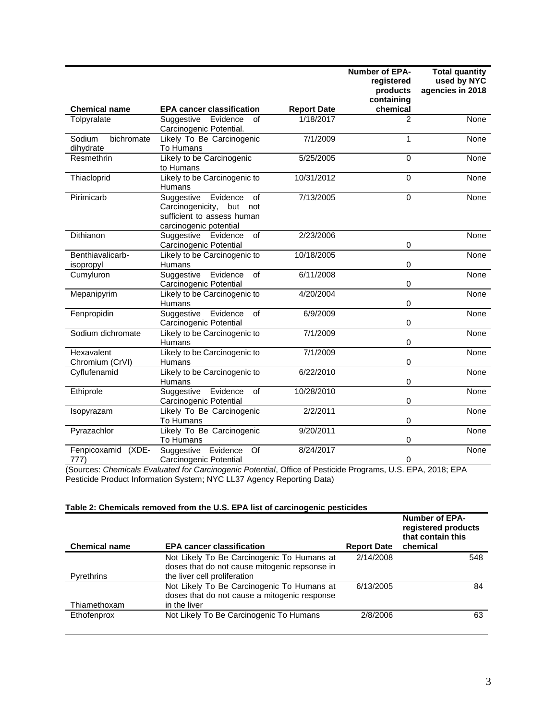|                                   |                                                                                                                        |                    | <b>Number of EPA-</b><br>registered<br>products<br>containing | <b>Total quantity</b><br>used by NYC<br>agencies in 2018 |
|-----------------------------------|------------------------------------------------------------------------------------------------------------------------|--------------------|---------------------------------------------------------------|----------------------------------------------------------|
| <b>Chemical name</b>              | <b>EPA cancer classification</b>                                                                                       | <b>Report Date</b> | chemical                                                      |                                                          |
| Tolpyralate                       | Suggestive<br>Evidence<br>οf<br>Carcinogenic Potential.                                                                | 1/18/2017          | 2                                                             | <b>None</b>                                              |
| Sodium<br>bichromate<br>dihydrate | Likely To Be Carcinogenic<br>To Humans                                                                                 | 7/1/2009           | 1                                                             | None                                                     |
| Resmethrin                        | Likely to be Carcinogenic<br>to Humans                                                                                 | 5/25/2005          | $\mathbf 0$                                                   | None                                                     |
| Thiacloprid                       | Likely to be Carcinogenic to<br>Humans                                                                                 | 10/31/2012         | $\Omega$                                                      | <b>None</b>                                              |
| Pirimicarb                        | of<br>Suggestive<br>Evidence<br>Carcinogenicity,<br>but<br>not<br>sufficient to assess human<br>carcinogenic potential | 7/13/2005          | 0                                                             | None                                                     |
| Dithianon                         | Suggestive<br>of<br>Evidence<br>Carcinogenic Potential                                                                 | 2/23/2006          | $\mathsf 0$                                                   | None                                                     |
| Benthiavalicarb-<br>isopropyl     | Likely to be Carcinogenic to<br>Humans                                                                                 | 10/18/2005         | 0                                                             | None                                                     |
| Cumyluron                         | Evidence<br>Suggestive<br>of<br>Carcinogenic Potential                                                                 | 6/11/2008          | 0                                                             | None                                                     |
| Mepanipyrim                       | Likely to be Carcinogenic to<br>Humans                                                                                 | 4/20/2004          | 0                                                             | None                                                     |
| Fenpropidin                       | Suggestive<br>Evidence<br>of<br>Carcinogenic Potential                                                                 | 6/9/2009           | 0                                                             | <b>None</b>                                              |
| Sodium dichromate                 | Likely to be Carcinogenic to<br>Humans                                                                                 | 7/1/2009           | $\mathsf 0$                                                   | None                                                     |
| Hexavalent<br>Chromium (CrVI)     | Likely to be Carcinogenic to<br>Humans                                                                                 | 7/1/2009           | $\mathsf 0$                                                   | None                                                     |
| Cyflufenamid                      | Likely to be Carcinogenic to<br>Humans                                                                                 | 6/22/2010          | 0                                                             | <b>None</b>                                              |
| Ethiprole                         | of<br>Evidence<br>Suggestive<br>Carcinogenic Potential                                                                 | 10/28/2010         | $\mathsf 0$                                                   | None                                                     |
| Isopyrazam                        | Likely To Be Carcinogenic<br>To Humans                                                                                 | 2/2/2011           | $\mathsf 0$                                                   | None                                                     |
| Pyrazachlor                       | Likely To Be Carcinogenic<br>To Humans                                                                                 | 9/20/2011          | $\mathsf 0$                                                   | None                                                     |
| Fenpicoxamid<br>$(XDE -$<br>777)  | Suggestive<br>Evidence<br>Of<br>Carcinogenic Potential                                                                 | 8/24/2017          | 0                                                             | None                                                     |

(Sources: *Chemicals Evaluated for Carcinogenic Potential*, Office of Pesticide Programs, U.S. EPA, 2018; EPA Pesticide Product Information System; NYC LL37 Agency Reporting Data)

### **Table 2: Chemicals removed from the U.S. EPA list of carcinogenic pesticides**

| <b>Chemical name</b> | <b>EPA cancer classification</b>                                                                                            | <b>Report Date</b> | <b>Number of EPA-</b><br>registered products<br>that contain this<br>chemical |
|----------------------|-----------------------------------------------------------------------------------------------------------------------------|--------------------|-------------------------------------------------------------------------------|
| Pyrethrins           | Not Likely To Be Carcinogenic To Humans at<br>doses that do not cause mitogenic repsonse in<br>the liver cell proliferation | 2/14/2008          | 548                                                                           |
| Thiamethoxam         | Not Likely To Be Carcinogenic To Humans at<br>doses that do not cause a mitogenic response<br>in the liver                  | 6/13/2005          | 84                                                                            |
| Ethofenprox          | Not Likely To Be Carcinogenic To Humans                                                                                     | 2/8/2006           | 63                                                                            |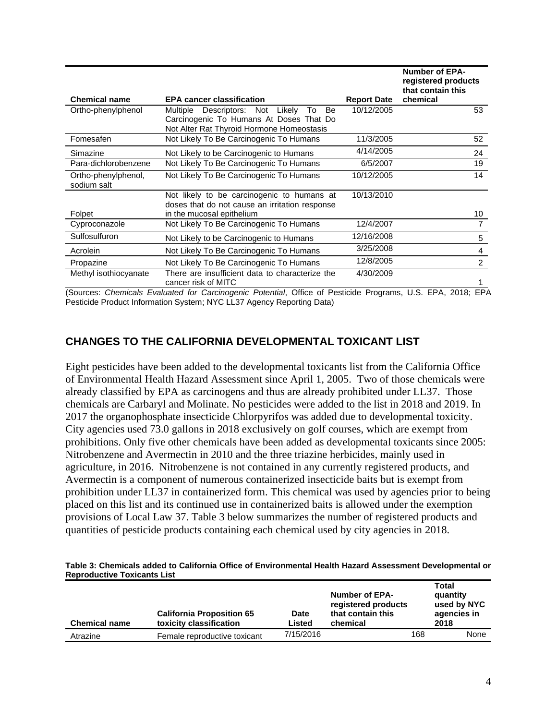| <b>Chemical name</b>               | <b>EPA cancer classification</b>                                                                                                           | <b>Report Date</b> | <b>Number of EPA-</b><br>registered products<br>that contain this<br>chemical |
|------------------------------------|--------------------------------------------------------------------------------------------------------------------------------------------|--------------------|-------------------------------------------------------------------------------|
| Ortho-phenylphenol                 | Descriptors: Not<br>Be<br>Multiple<br>Likely<br>To<br>Carcinogenic To Humans At Doses That Do<br>Not Alter Rat Thyroid Hormone Homeostasis | 10/12/2005         | 53                                                                            |
| Fomesafen                          | Not Likely To Be Carcinogenic To Humans                                                                                                    | 11/3/2005          | 52                                                                            |
| Simazine                           | Not Likely to be Carcinogenic to Humans                                                                                                    | 4/14/2005          | 24                                                                            |
| Para-dichlorobenzene               | Not Likely To Be Carcinogenic To Humans                                                                                                    | 6/5/2007           | 19                                                                            |
| Ortho-phenylphenol,<br>sodium salt | Not Likely To Be Carcinogenic To Humans                                                                                                    | 10/12/2005         | 14                                                                            |
|                                    | Not likely to be carcinogenic to humans at<br>doses that do not cause an irritation response                                               | 10/13/2010         |                                                                               |
| Folpet                             | in the mucosal epithelium                                                                                                                  |                    | 10                                                                            |
| Cyproconazole                      | Not Likely To Be Carcinogenic To Humans                                                                                                    | 12/4/2007          |                                                                               |
| Sulfosulfuron                      | Not Likely to be Carcinogenic to Humans                                                                                                    | 12/16/2008         | 5                                                                             |
| Acrolein                           | Not Likely To Be Carcinogenic To Humans                                                                                                    | 3/25/2008          | 4                                                                             |
| Propazine                          | Not Likely To Be Carcinogenic To Humans                                                                                                    | 12/8/2005          | 2                                                                             |
| Methyl isothiocyanate              | There are insufficient data to characterize the<br>cancer risk of MITC                                                                     | 4/30/2009          |                                                                               |

(Sources: *Chemicals Evaluated for Carcinogenic Potential*, Office of Pesticide Programs, U.S. EPA, 2018; EPA Pesticide Product Information System; NYC LL37 Agency Reporting Data)

## **CHANGES TO THE CALIFORNIA DEVELOPMENTAL TOXICANT LIST**

Eight pesticides have been added to the developmental toxicants list from the California Office of Environmental Health Hazard Assessment since April 1, 2005. Two of those chemicals were already classified by EPA as carcinogens and thus are already prohibited under LL37. Those chemicals are Carbaryl and Molinate. No pesticides were added to the list in 2018 and 2019. In 2017 the organophosphate insecticide Chlorpyrifos was added due to developmental toxicity. City agencies used 73.0 gallons in 2018 exclusively on golf courses, which are exempt from prohibitions. Only five other chemicals have been added as developmental toxicants since 2005: Nitrobenzene and Avermectin in 2010 and the three triazine herbicides, mainly used in agriculture, in 2016. Nitrobenzene is not contained in any currently registered products, and Avermectin is a component of numerous containerized insecticide baits but is exempt from prohibition under LL37 in containerized form. This chemical was used by agencies prior to being placed on this list and its continued use in containerized baits is allowed under the exemption provisions of Local Law 37. Table 3 below summarizes the number of registered products and quantities of pesticide products containing each chemical used by city agencies in 2018.

#### **Table 3: Chemicals added to California Office of Environmental Health Hazard Assessment Developmental or Reproductive Toxicants List**

| <b>Chemical name</b> | <b>California Proposition 65</b><br>toxicity classification | Date<br>Listed | <b>Number of EPA-</b><br>registered products<br>that contain this<br>chemical |     | Total<br>quantity<br>used by NYC<br>agencies in<br>2018 |
|----------------------|-------------------------------------------------------------|----------------|-------------------------------------------------------------------------------|-----|---------------------------------------------------------|
| Atrazine             | Female reproductive toxicant                                | 7/15/2016      |                                                                               | 168 | None                                                    |